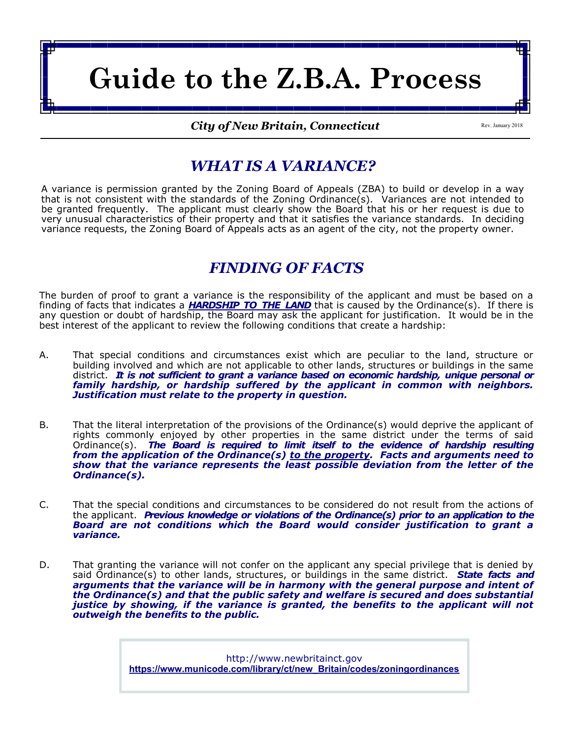# **Guide to the Z.B.A. Process**

*City of New Britain, Connecticut*

Rev. January 2018

### *WHAT IS A VARIANCE?*

A variance is permission granted by the Zoning Board of Appeals (ZBA) to build or develop in a way that is not consistent with the standards of the Zoning Ordinance(s). Variances are not intended to be granted frequently. The applicant must clearly show the Board that his or her request is due to very unusual characteristics of their property and that it satisfies the variance standards. In deciding variance requests, the Zoning Board of Appeals acts as an agent of the city, not the property owner.

## *FINDING OF FACTS*

The burden of proof to grant a variance is the responsibility of the applicant and must be based on a finding of facts that indicates a *HARDSHIP TO THE LAND* that is caused by the Ordinance(s). If there is any question or doubt of hardship, the Board may ask the applicant for justification. It would be in the best interest of the applicant to review the following conditions that create a hardship:

- A. That special conditions and circumstances exist which are peculiar to the land, structure or building involved and which are not applicable to other lands, structures or buildings in the same district. It is not sufficient to grant a variance based on economic hardship, unique personal or *family hardship, or hardship suffered by the applicant in common with neighbors. Justification must relate to the property in question.*
- B. That the literal interpretation of the provisions of the Ordinance(s) would deprive the applicant of rights commonly enjoyed by other properties in the same district under the terms of said Ordinance(s). *The Board is required to limit itself to the evidence of hardship resulting from the application of the Ordinance(s) to the property. Facts and arguments need to show that the variance represents the least possible deviation from the letter of the Ordinance(s).*
- C. That the special conditions and circumstances to be considered do not result from the actions of the applicant. *Previous knowledge or violations of the Ordinance(s) prior to an application to the Board are not conditions which the Board would consider justification to grant a variance.*
- D. That granting the variance will not confer on the applicant any special privilege that is denied by said Ordinance(s) to other lands, structures, or buildings in the same district. *State facts and arguments that the variance will be in harmony with the general purpose and intent of the Ordinance(s) and that the public safety and welfare is secured and does substantial justice by showing, if the variance is granted, the benefits to the applicant will not outweigh the benefits to the public.*

http://www.newbritainct.gov **[https://www.municode.com/library/ct/new\\_Britain/codes/zoningordinances](https://www.municode.com/library/ct/new_Britain/codes/zoningordinances)**